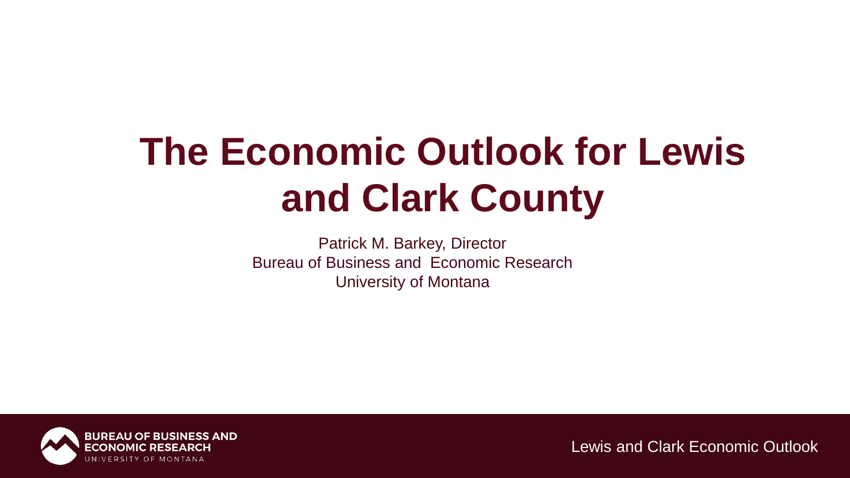# **The Economic Outlook for Lewis and Clark County**

Patrick M. Barkey, Director Bureau of Business and Economic Research University of Montana

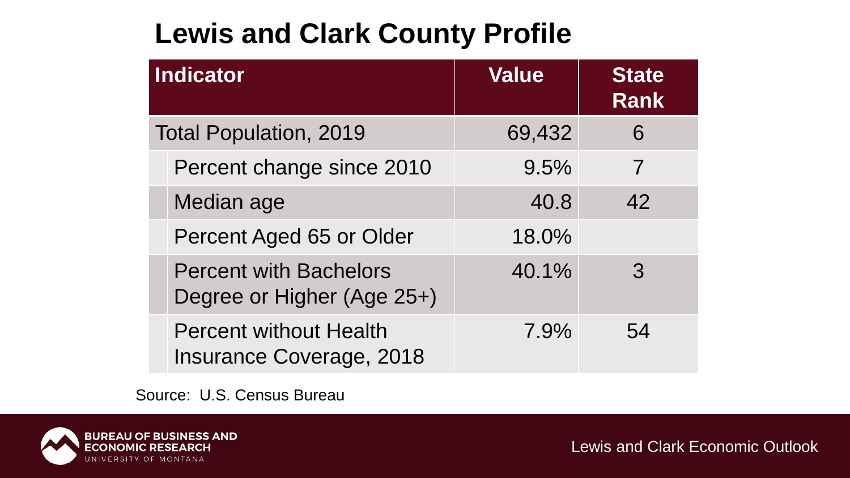### **Lewis and Clark County Profile**

| Indicator                     |                                                                  | <b>Value</b> | <b>State</b><br><b>Rank</b> |
|-------------------------------|------------------------------------------------------------------|--------------|-----------------------------|
| <b>Total Population, 2019</b> |                                                                  | 69,432       | 6                           |
|                               | Percent change since 2010                                        | 9.5%         |                             |
|                               | Median age                                                       | 40.8         | 42                          |
|                               | Percent Aged 65 or Older                                         | 18.0%        |                             |
|                               | <b>Percent with Bachelors</b><br>Degree or Higher (Age 25+)      | 40.1%        | 3                           |
|                               | <b>Percent without Health</b><br><b>Insurance Coverage, 2018</b> | 7.9%         | 54                          |

Source: U.S. Census Bureau

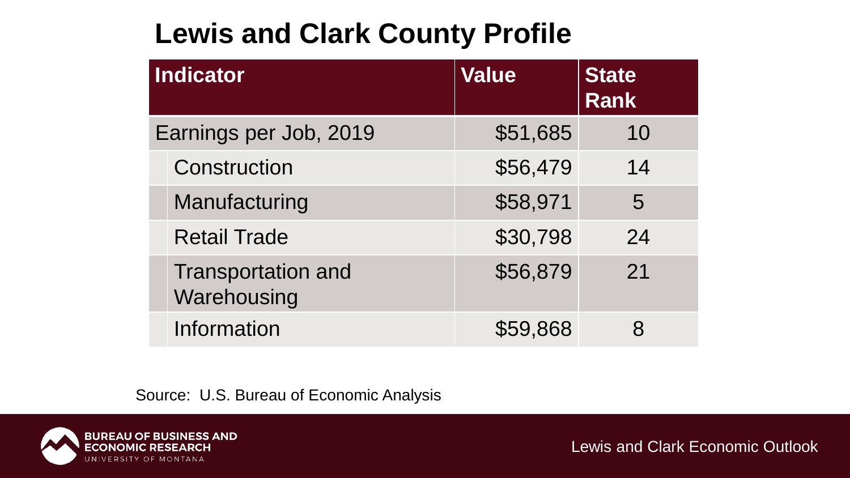### **Lewis and Clark County Profile**

| Indicator              |                                          | <b>Value</b> | <b>State</b><br><b>Rank</b> |
|------------------------|------------------------------------------|--------------|-----------------------------|
| Earnings per Job, 2019 |                                          | \$51,685     | 10                          |
|                        | <b>Construction</b>                      | \$56,479     | 14                          |
|                        | Manufacturing                            | \$58,971     | 5                           |
|                        | <b>Retail Trade</b>                      | \$30,798     | 24                          |
|                        | <b>Transportation and</b><br>Warehousing | \$56,879     | 21                          |
|                        | <b>Information</b>                       | \$59,868     |                             |

Source: U.S. Bureau of Economic Analysis

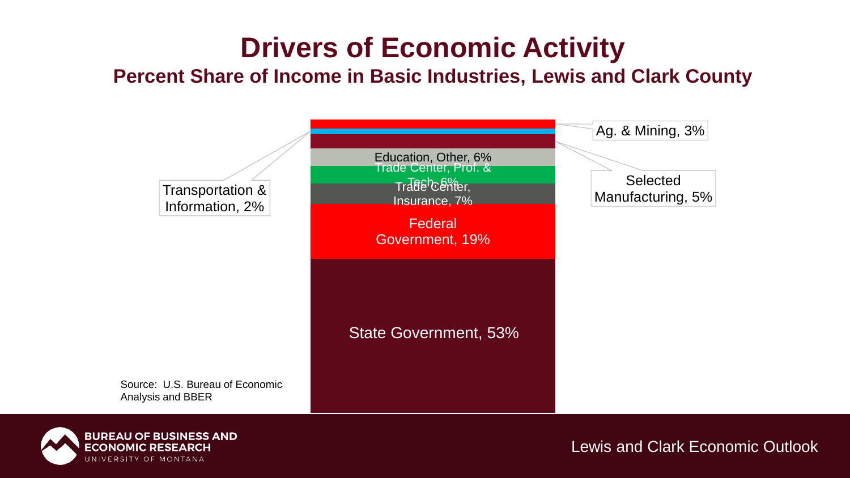### **Drivers of Economic Activity**

#### **Percent Share of Income in Basic Industries, Lewis and Clark County**



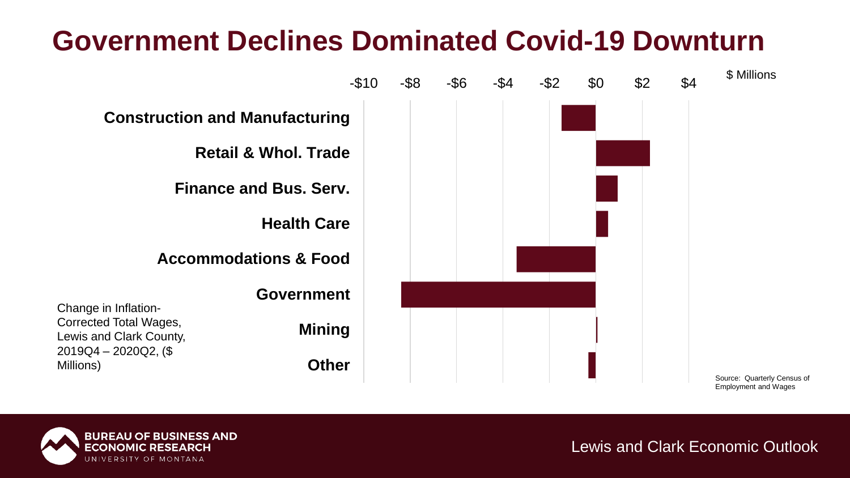### **Government Declines Dominated Covid-19 Downturn**



**BUREAU OF BUSINESS AND ECONOMIC RESEARCH** UNIVERSITY OF MONTANA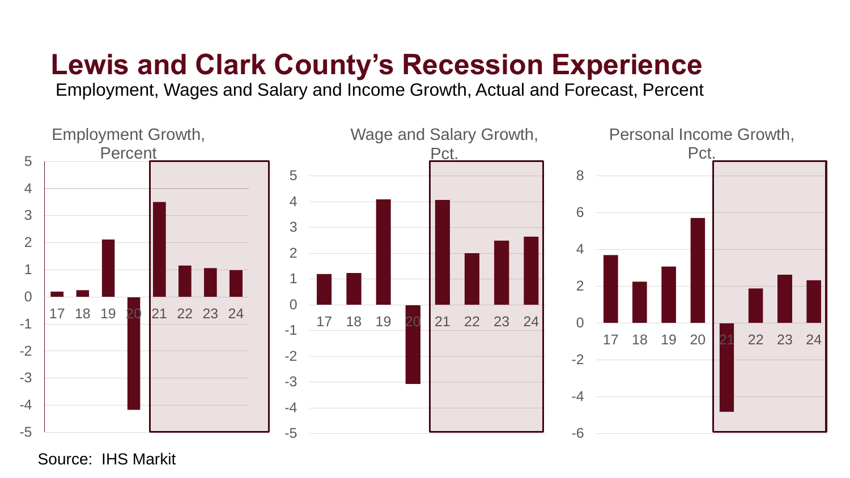## **Lewis and Clark County's Recession Experience**

Employment, Wages and Salary and Income Growth, Actual and Forecast, Percent



Source: IHS Markit